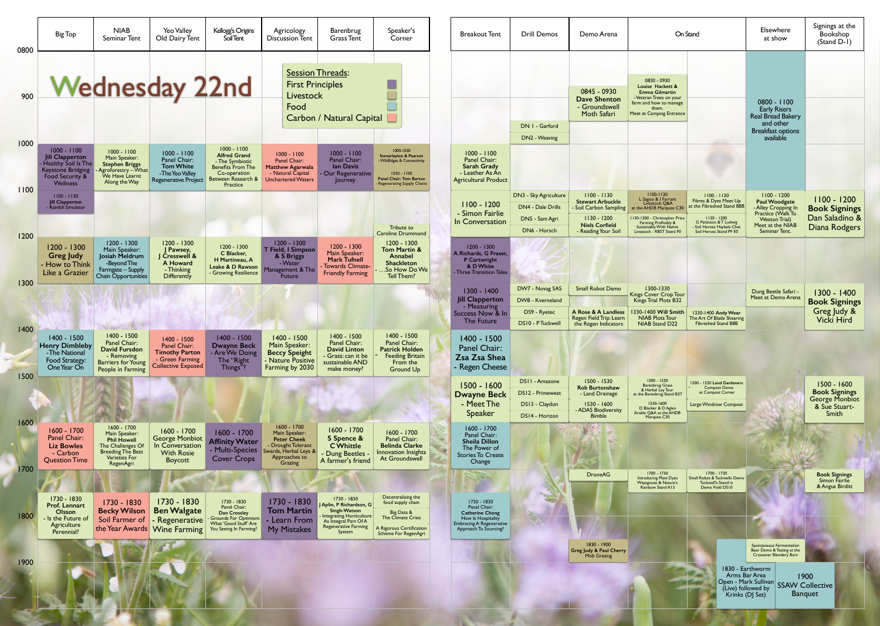| 0800         | <b>Big Top</b>                                                                                                            | <b>NIAB</b><br>Seminar Tent                                                                                                                | Yeo Valley<br>Old Dairy Tent                                                                           | Kellogg's Origins<br>Soil Tent                                                                                                        | Agricology<br><b>Discussion Tent</b>                                                                                          | Barenbrug<br><b>Grass Tent</b>                                                                                                              | Speaker's<br>Corner                                                                                                                                                   | <b>Breakout Tent</b>                                                                                                                        | <b>Drill Demos</b>                                                           | Demo Arena                                                                                                                        | On Stand                                                                                                                                                                                                                                                                                                                                                                                  | Elsewhere<br>at show                                                                                                                                                                 | Signings at the<br>Bookshop<br>(Stand D-1)                                      |
|--------------|---------------------------------------------------------------------------------------------------------------------------|--------------------------------------------------------------------------------------------------------------------------------------------|--------------------------------------------------------------------------------------------------------|---------------------------------------------------------------------------------------------------------------------------------------|-------------------------------------------------------------------------------------------------------------------------------|---------------------------------------------------------------------------------------------------------------------------------------------|-----------------------------------------------------------------------------------------------------------------------------------------------------------------------|---------------------------------------------------------------------------------------------------------------------------------------------|------------------------------------------------------------------------------|-----------------------------------------------------------------------------------------------------------------------------------|-------------------------------------------------------------------------------------------------------------------------------------------------------------------------------------------------------------------------------------------------------------------------------------------------------------------------------------------------------------------------------------------|--------------------------------------------------------------------------------------------------------------------------------------------------------------------------------------|---------------------------------------------------------------------------------|
| 900          |                                                                                                                           |                                                                                                                                            | <b>Wednesday 22nd</b>                                                                                  |                                                                                                                                       | <b>Session Threads:</b><br><b>First Principles</b><br><b>Livestock</b><br>Food                                                | <b>Carbon / Natural Capital</b>                                                                                                             |                                                                                                                                                                       |                                                                                                                                             | DN I - Garford                                                               | 0845 - 0930<br><b>Dave Shenton</b><br>- Groundswell<br>Moth Safari                                                                | 0830 - 0930<br>Louise Hackett &<br><b>Emma Gilmartin</b><br>Veteran Trees on your<br>farm and how to manage<br>Meet at Camping Entrance                                                                                                                                                                                                                                                   | $0800 - 1100$<br><b>Early Risers</b><br>Real Bread Bakery<br>and other<br><b>Breakfast options</b>                                                                                   |                                                                                 |
| 1000         | $1000 - 1100$<br><b>Jill Clapperton</b><br>Healthy Soil Is The<br>Keystone Bridging<br>Food Security &<br><b>Wellness</b> | $1000 - 1100$<br>Main Speaker:<br><b>Stephen Briggs</b><br>Agroforestry - What<br>We Have Learnt<br>Along the Way                          | $1000 - 1100$<br>Panel Chair:<br><b>Tom White</b><br>-The Yeo Valley<br>Regenerative Project           | $1000 - 1100$<br><b>Alfred Grand</b><br>- The Symbiotic<br><b>Benefits From The</b><br>Co-operation<br>Between Research &<br>Practice | $1000 - 1100$<br>Panel Chair:<br><b>Matthew Agarwala</b><br>- Natural Capital<br><b>Unchartered Waters</b>                    | $1000 - 1100$<br>Panel Chair:<br>lan Davis<br>Our Regenerative<br>Journey                                                                   | 1000-1030<br><b>Somerleyton &amp; Pearson</b><br><b>WildEdges &amp; Connectivity</b><br>$1030 - 1100$<br><b>Panel Chair: Tom Barton</b><br>Regenerating Supply Chains | $1000 - 1100$<br>Panel Chair:<br><b>Sarah Grady</b><br>- Leather As An<br><b>Agricultural Product</b>                                       | DN2 - Weaving                                                                |                                                                                                                                   |                                                                                                                                                                                                                                                                                                                                                                                           | available                                                                                                                                                                            |                                                                                 |
| 1100<br>1200 | $1100 - 1130$<br><b>Jill Clapperton</b><br>Rainfall Simulator                                                             |                                                                                                                                            |                                                                                                        |                                                                                                                                       |                                                                                                                               |                                                                                                                                             | Tribute to<br><b>Caroline Drummond</b>                                                                                                                                | $1100 - 1200$<br>- Simon Fairlie<br>In Conversation                                                                                         | DN3 - Sky Agriculture<br>DN4 - Dale Drills<br>DN5 - Sam Agri<br>DN6 - Horsch | $1100 - 1130$<br><b>Stewart Arbuckle</b><br>Soil Carbon Sampling<br>$1130 - 1200$<br><b>Niels Corfield</b><br>- Reading Your Soil | 1100-1130<br>L Sagoo & 1 Farrant<br>Livestock Q&A<br>$1100 - 1130$<br>Fibres & Dyes Meet Up<br>at the Fibreshed Stand B8B<br>at the AHDB Marquee C30<br>$1130 - 1200$<br>1130-1200 - Christopher Price<br>G Pattisson & T Ludwig<br><b>Farming Profitably &amp;</b><br><b>Sustainably With Native</b><br>Soil Heroes Haybale Chat<br>Livestock - RBST Stand F0<br>Soil Heroes Stand PF E0 | $1100 - 1200$<br><b>Paul Woodgate</b><br>- Alley Cropping In<br>Practice (Walk To<br><b>Weston Trial</b> )<br>Meet at the NIAB<br><b>Seminar Tent.</b>                               | $1100 - 1200$<br><b>Book Signings</b><br>Dan Saladino &<br>Diana Rodgers        |
| 1300         | $1200 - 1300$<br><b>Greg Judy</b><br>- How to Think<br>Like a Grazier                                                     | $1200 - 1300$<br>Main Speaker:<br>Josiah Meldrum<br>-Beyond The<br>Farmgate - Supply<br>Chain Opportunities                                | 1200 - 1300<br>J Pawsey,<br><b>S</b> Cresswell &<br>A Howard<br>- Thinking<br>Differently              | 1200 - 1300<br>C Blacker,<br>H Martineau, A<br>Leake & D Rawson<br>- Growing Resilience                                               | $1200 - 1300$<br>T Field, I Simpson<br>& S Briggs<br>- Water<br>1anagement & The<br><b>Future</b>                             | 1200 - 1300<br>Main Speaker:<br><b>Mark Tufnell</b><br>- Towards Climate-<br><b>Friendly Farming</b>                                        | $1200 - 1300$<br>Tom Martin &<br>Annabel<br>Shackleton<br>.So How Do We<br>Tell Them?                                                                                 | $1200 - 1300$<br>A Richards, G Fraser,<br>P Cartwright<br>& D White<br>- Three Transition Tales                                             |                                                                              |                                                                                                                                   |                                                                                                                                                                                                                                                                                                                                                                                           |                                                                                                                                                                                      |                                                                                 |
| 1400         |                                                                                                                           |                                                                                                                                            |                                                                                                        |                                                                                                                                       |                                                                                                                               |                                                                                                                                             |                                                                                                                                                                       | $1300 - 1400$<br><b>Jill Clapperton</b><br>- Measuring<br>Success Now & In<br>The Future                                                    | DW7 - Novag SAS<br>DW8 - Kverneland<br>DS9 - Ryetec<br>DS10 - PTuckwell      | <b>Small Robot Demo</b><br>A Rose & A Landless<br>Regen Field Trip: Learn<br>the Regen Indicators                                 | 1300-1330<br>Kings Cover Crop Tour<br>Kings Trial Plots B32<br>1330-1400 Will Smith<br>1330-1400 Andy Wear<br><b>NIAB Plots Tour</b><br>The Art Of Blade Shearing<br><b>Fibreshed Stand B8B</b><br>NIAB Stand D22                                                                                                                                                                         | Dung Beetle Safari -<br>Meet at Demo Arena                                                                                                                                           | 1300 - 1400<br><b>Book Signings</b><br>Greg Judy &<br><b>Vicki Hird</b>         |
| 1500         | 1400 - 1500<br><b>Henry Dimbleby</b><br>-The National<br>Food Strategy:<br>One Year On                                    | 1400 - 1500<br>Panel Chair:<br><b>David Fursdon</b><br>- Removing<br><b>Barriers for Young</b><br>People in Farming                        | $1400 - 1500$<br>Panel Chair:<br><b>Timothy Parton</b><br>- Green Farming<br><b>Collective Exposed</b> | 1400 - 1500<br><b>Dwayne Beck</b><br>- Are We Doing<br>The "Right<br>Things"?                                                         | 1400 - 1500<br>Main Speaker:<br><b>Beccy Speight</b><br>- Nature Positive<br>Farming by 2030                                  | 1400 - 1500<br>Panel Chair:<br><b>David Linton</b><br>- Grass: can it be<br>sustainable AND<br>make money?                                  | 1400 - 1500<br>Panel Chair:<br><b>Patrick Holden</b><br><b>Feeding Britain</b><br>From the<br>Ground Up                                                               | 1400 - 1500<br>Panel Chair:<br>Zsa Zsa Shea<br>- Regen Cheese                                                                               |                                                                              |                                                                                                                                   |                                                                                                                                                                                                                                                                                                                                                                                           |                                                                                                                                                                                      |                                                                                 |
| 1600         |                                                                                                                           |                                                                                                                                            |                                                                                                        |                                                                                                                                       |                                                                                                                               |                                                                                                                                             |                                                                                                                                                                       | 1500 - 1600<br><b>Dwayne Beck</b><br>- Meet The<br>Speaker                                                                                  | DS11 - Amazone<br>DS12 - Primewest<br>DS13 - Claydon<br>DS14 - Horizon       | 1500 - 1530<br><b>Rob Burtonshaw</b><br>- Land Drainage<br>$1530 - 1600$<br>- ADAS Biodiversity<br><b>Bimble</b>                  | 1500 - 1530<br>1500 - 1530 Land Gardeners<br><b>Barenbrug Grass</b><br><b>Compost Demo</b><br>& Herbal Ley Tour<br>at Compost Corner<br>at the Barenbrug Stand B37<br>1530-1600<br>D Blacker & D Aglen<br>Large Windrow Compost<br>Arable Q&A at the AHDB<br>Marquee C30                                                                                                                  |                                                                                                                                                                                      | 1500 - 1600<br><b>Book Signings</b><br>George Monbiot<br>& Sue Stuart-<br>Smith |
| 1700         | 1600 - 1700<br>Panel Chair:<br><b>Liz Bowles</b><br>- Carbon<br><b>Question Time</b>                                      | $1600 - 1700$<br>Main Speaker:<br><b>Phil Howell</b><br>The Challenges Of<br><b>Breeding The Best</b><br><b>Varieties For</b><br>RegenAgri | 1600 - 1700<br><b>George Monbiot</b><br>In Conversation<br><b>With Rosie</b><br>Boycott                | 1600 - 1700<br><b>Affinity Water</b><br>- Multi-Species<br><b>Cover Crops</b>                                                         | $1600 - 1700$<br>Main Speaker:<br><b>Peter Cheek</b><br>Drought Tolerant<br>Swards, Herbal Leys &<br>Approaches to<br>Grazing | 1600 - 1700<br>S Spence &<br><b>C</b> Whittle<br>Dung Beetles<br>A farmer's friend                                                          | 1600 - 1700<br>Panel Chair:<br><b>Belinda Clarke</b><br>Innovation Insights<br>At Groundswell                                                                         | 1600 - 1700<br>Panel Chair:<br><b>Sheila Dillon</b><br>The Power of<br><b>Stories To Create</b><br>Change                                   |                                                                              |                                                                                                                                   |                                                                                                                                                                                                                                                                                                                                                                                           |                                                                                                                                                                                      |                                                                                 |
| 1800         | 1730 - 1830<br>Prof. Lennart<br>Olsson<br>- Is the Future of<br>Agriculture                                               | 1730 - 1830<br><b>Becky Wilson</b>                                                                                                         | 1730 - 1830<br><b>Ben Walgate</b><br>Soil Farmer of   - Regenerative<br>the Year Awards Wine Farming   | 1730 - 1830<br>Panel Chair:<br>Dan Crossley<br>Grounds For Optimism:<br>What 'Good Stuff' Are<br>You Seeing In Farming?               | 1730 - 1830<br><b>Tom Martin</b><br>Learn From<br><b>My Mistakes</b>                                                          | 1730 - 1830<br>J Aplin, P Richardson, G<br>Singh-Watson<br><b>Integrating Horticulture</b><br>As Integral Part Of A<br>Regenerative Farming | Decentralising the<br>food supply chain<br>Big Data &<br>The Climate Crisis<br>A Rigorous Certification                                                               | $100 -$<br>1730 - 1830<br>Panel Chair:<br><b>Catherine Chong</b><br>How Is Hospitality<br>Embracing A Regenerative<br>Approach To Sourcing? |                                                                              | <b>DroneAG</b>                                                                                                                    | 1700 - 1730<br>Introducing Plant Dyes<br>1700 - 1730<br>Small Robot & Tuckwells Demo<br>Tuckwell's Stand in<br>Wayzgoose & Nature's<br>Demo Field DS10<br>Rainbow Stand A13                                                                                                                                                                                                               |                                                                                                                                                                                      | <b>Book Signings</b><br>Simon Fairlie<br>& Angus Birditt                        |
| 1900         | Perennial?                                                                                                                |                                                                                                                                            |                                                                                                        |                                                                                                                                       |                                                                                                                               | System                                                                                                                                      | Scheme For RegenAgri                                                                                                                                                  |                                                                                                                                             |                                                                              | 1830 - 1900<br>Greg Judy & Paul Cherry<br>Mob Grazing                                                                             |                                                                                                                                                                                                                                                                                                                                                                                           | Spontaneous Fermentation<br>Beer Demo & Tasting at the<br>Crossover Blendery Barn<br>1830 - Earthworm<br>Arms Bar Area<br>Open - Mark Sullivan SSAW Collective<br>(Live) followed by | 1900                                                                            |
|              |                                                                                                                           |                                                                                                                                            |                                                                                                        |                                                                                                                                       |                                                                                                                               |                                                                                                                                             |                                                                                                                                                                       |                                                                                                                                             |                                                                              |                                                                                                                                   |                                                                                                                                                                                                                                                                                                                                                                                           | Krinks (DJ Set)                                                                                                                                                                      | <b>Banquet</b>                                                                  |